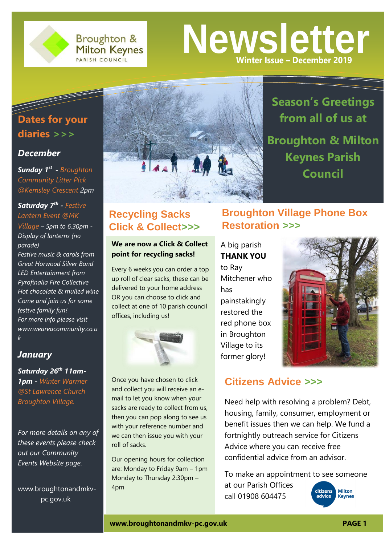

**Broughton & Milton Keynes** PARISH COUNCIL

# **Newsletter Winter Issue – December 2019**

# **Dates for your diaries** *>>>*

#### *December*

*Sunday 1 st - Broughton Community Litter Pick @Kemsley Crescent 2pm*

#### *Saturday 7th - Festive Lantern Event @MK Village – 5pm to 6.30pm - Display of lanterns (no parade) Festive music & carols from Great Horwood Silver Band LED Entertainment from Pyrofinalia Fire Collective Hot chocolate & mulled wine Come and join us for some festive family fun! For more info please visit [www.weareacommunity.co.u](http://www.weareacommunity.co.uk/?fbclid=IwAR3WpYoFstGNDqHp8K73csBykBX7r6rMS_JazfMWtgQjfx5dZtpczYMzKDI) [k](http://www.weareacommunity.co.uk/?fbclid=IwAR3WpYoFstGNDqHp8K73csBykBX7r6rMS_JazfMWtgQjfx5dZtpczYMzKDI)*

#### *January*

*Saturday 26th 11am-1pm - Winter Warmer @St Lawrence Church Broughton Village.*

*For more details on any of these events please check out our Community Events Website page.*

www.broughtonandmkvpc.gov.uk



# **Recycling Sacks Click & Collect***>>>*

**We are now a Click & Collect point for recycling sacks!**

Every 6 weeks you can order a top up roll of clear sacks, these can be delivered to your home address OR you can choose to click and collect at one of 10 parish council offices, including us!



Once you have chosen to click and collect you will receive an email to let you know when your sacks are ready to collect from us, then you can pop along to see us with your reference number and we can then issue you with your roll of sacks.

Our opening hours for collection are: Monday to Friday 9am – 1pm Monday to Thursday 2:30pm – 4pm

**Broughton & Milton Keynes Parish Council**

**Season's Greetings** 

**from all of us at** 

# **Broughton Village Phone Box Restoration** *>>>*

A big parish **THANK YOU**

to Ray Mitchener who has painstakingly restored the red phone box in Broughton Village to its former glory!



### **Citizens Advice** *>>>*

Need help with resolving a problem? Debt, housing, family, consumer, employment or benefit issues then we can help. We fund a fortnightly outreach service for Citizens Advice where you can receive free confidential advice from an advisor.

To make an appointment to see someone at our Parish Offices citizens **Milton** call 01908 604475 **Keynes** 

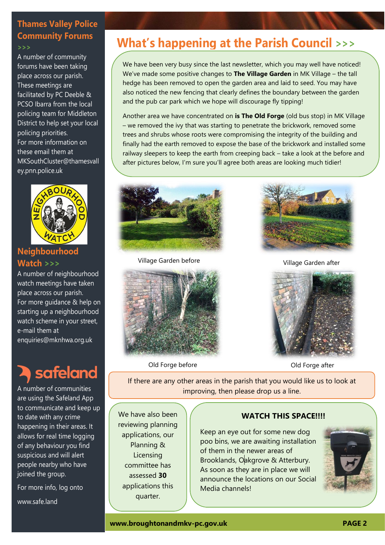# **Thames Valley Police Community Forums**

*>>>*

A number of community forums have been taking place across our parish. These meetings are facilitated by PC Deeble & PCSO Ibarra from the local policing team for Middleton District to help set your local policing priorities. For more information on these email them at [MKSouthCluster@thamesvall](mailto:MKSouthCluster@thamesvalley.pnn.police.uk) [ey.pnn.police.uk](mailto:MKSouthCluster@thamesvalley.pnn.police.uk)



#### **Neighbourhood Watch** *>>>*

A number of neighbourhood watch meetings have taken place across our parish. For more guidance & help on starting up a neighbourhood watch scheme in your street, e-mail them at enquiries@mknhwa.org.uk

# safeland

A number of communities are using the Safeland App to communicate and keep up to date with any crime happening in their areas. It allows for real time logging of any behaviour you find suspicious and will alert people nearby who have joined the group.

For more info, log onto

www.safe.land

# **What's happening at the Parish Council >>>**

We have been very busy since the last newsletter, which you may well have noticed! We've made some positive changes to **The Village Garden** in MK Village – the tall hedge has been removed to open the garden area and laid to seed. You may have also noticed the new fencing that clearly defines the boundary between the garden and the pub car park which we hope will discourage fly tipping!

Another area we have concentrated on **is The Old Forge** (old bus stop) in MK Village – we removed the ivy that was starting to penetrate the brickwork, removed some trees and shrubs whose roots were compromising the integrity of the building and finally had the earth removed to expose the base of the brickwork and installed some railway sleepers to keep the earth from creeping back – take a look at the before and after pictures below, I'm sure you'll agree both areas are looking much tidier!



Village Garden before



Old Forge before **Old Forge after** 



Village Garden after



If there are any other areas in the parish that you would like us to look at improving, then please drop us a line.

We have also been reviewing planning applications, our Planning & **Licensing** committee has assessed **30**  applications this quarter.

#### **WATCH THIS SPACE!!!!**

Keep an eye out for some new dog poo bins, we are awaiting installation of them in the newer areas of Brooklands, Oakgrove & Atterbury. As soon as they are in place we will announce the locations on our Social Media channels!

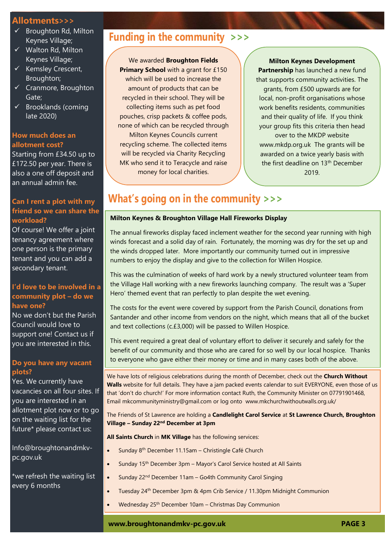#### **Allotments>>>**

- $\checkmark$  Broughton Rd, Milton Keynes Village;
- $\checkmark$  Walton Rd, Milton Keynes Village;
- $\checkmark$  Kemsley Crescent, Broughton;
- $\checkmark$  Cranmore, Broughton Gate;
- $\checkmark$  Brooklands (coming late 2020)

#### **How much does an allotment cost?**

Starting from £34.50 up to £172.50 per year. There is also a one off deposit and an annual admin fee.

#### **Can I rent a plot with my friend so we can share the workload?**

Of course! We offer a joint tenancy agreement where one person is the primary tenant and you can add a secondary tenant.

#### **I'd love to be involved in a community plot – do we have one?**

No we don't but the Parish Council would love to support one! Contact us if you are interested in this.

#### **Do you have any vacant plots?**

Yes. We currently have vacancies on all four sites. If you are interested in an allotment plot now or to go on the waiting list for the future\* please contact us:

[Info@broughtonandmkv](mailto:Info@broughtonandmkv-pc.gov.uk)[pc.gov.uk](mailto:Info@broughtonandmkv-pc.gov.uk)

\*we refresh the waiting list every 6 months

## **Funding in the community >>>**

We awarded **Broughton Fields** 

**Primary School** with a grant for £150 which will be used to increase the amount of products that can be recycled in their school. They will be collecting items such as pet food pouches, crisp packets & coffee pods, none of which can be recycled through Milton Keynes Councils current recycling scheme. The collected items will be recycled via Charity Recycling MK who send it to Teracycle and raise money for local charities.

#### **Milton Keynes Development**

**Partnership** has launched a new fund that supports community activities. The grants, from £500 upwards are for local, non-profit organisations whose work benefits residents, communities and their quality of life. If you think your group fits this criteria then head over to the MKDP website [www.mkdp.org.uk](http://www.mkdp.org.uk/) The grants will be awarded on a twice yearly basis with the first deadline on 13<sup>th</sup> December 2019.

# **What's going on in the community >>>**

#### **Milton Keynes & Broughton Village Hall Fireworks Display**

The annual fireworks display faced inclement weather for the second year running with high winds forecast and a solid day of rain. Fortunately, the morning was dry for the set up and the winds dropped later. More importantly our community turned out in impressive numbers to enjoy the display and give to the collection for Willen Hospice.

This was the culmination of weeks of hard work by a newly structured volunteer team from the Village Hall working with a new fireworks launching company. The result was a 'Super Hero' themed event that ran perfectly to plan despite the wet evening.

The costs for the event were covered by support from the Parish Council, donations from Santander and other income from vendors on the night, which means that all of the bucket and text collections (c.£3,000) will be passed to Willen Hospice.

This event required a great deal of voluntary effort to deliver it securely and safely for the benefit of our community and those who are cared for so well by our local hospice. Thanks to everyone who gave either their money or time and in many cases both of the above.

We have lots of religious celebrations during the month of December, check out the **Church Without Walls** website for full details. They have a jam packed events calendar to suit EVERYONE, even those of us that 'don't do church!' For more information contact Ruth, the Community Minister on 07791901468, Email [mkcommunityministry@gmail.com](mailto:mkcommunityministry@gmail.com) or log onto [www.mkchurchwithoutwalls.org.uk/](http://www.mkchurchwithoutwalls.org.uk/)

The Friends of St Lawrence are holding a **Candlelight Carol Service** at **St Lawrence Church, Broughton Village – Sunday 22nd December at 3pm**

**All Saints Church** in **MK Village** has the following services:

- Sunday 8th December 11.15am Christingle Café Church
	- Sunday 15th December 3pm Mayor's Carol Service hosted at All Saints
- Sunday 22nd December 11am Go4th Community Carol Singing
- Tuesday 24th December 3pm & 4pm Crib Service / 11.30pm Midnight Communion
- Wednesday 25th December 10am Christmas Day Communion